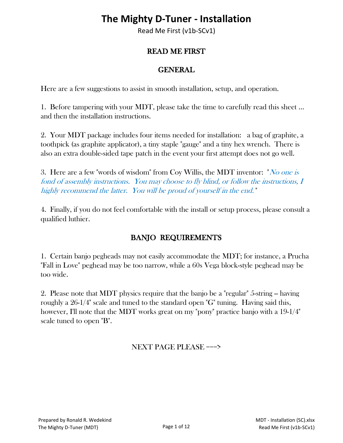### **The Mighty D-Tuner - Installation**

Read Me First (v1b-SCv1)

#### READ ME FIRST

#### GENERAL

Here are a few suggestions to assist in smooth installation, setup, and operation.

1. Before tampering with your MDT, please take the time to carefully read this sheet ... and then the installation instructions.

2. Your MDT package includes four items needed for installation: a bag of graphite, a toothpick (as graphite applicator), a tiny staple "gauge" and a tiny hex wrench. There is also an extra double-sided tape patch in the event your first attempt does not go well.

3. Here are a few "words of wisdom" from Coy Willis, the MDT inventor: "No one is fond of assembly instructions. You may choose to fly blind, or follow the instructions, I highly recommend the latter. You will be proud of yourself in the end. "

4. Finally, if you do not feel comfortable with the install or setup process, please consult a qualified luthier.

#### BANJO REQUIREMENTS

1. Certain banjo pegheads may not easily accommodate the MDT; for instance, a Prucha "Fall in Love" peghead may be too narrow, while a 60s Vega block-style peghead may be too wide.

2. Please note that MDT physics require that the banjo be a "regular" 5-string – having roughly a 26-1/4" scale and tuned to the standard open "G" tuning. Having said this, however, I'll note that the MDT works great on my "pony" practice banjo with a 19-1/4" scale tuned to open "B".

NEXT PAGE PLEASE ===>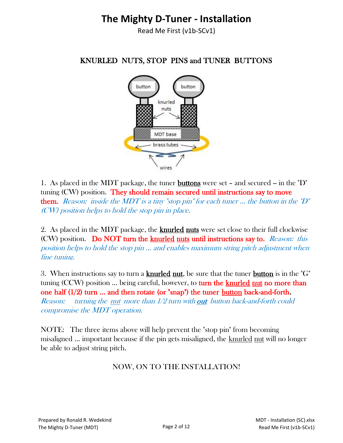### **The Mighty D-Tuner - Installation**

Read Me First (v1b-SCv1)

# button button knurled nuts MDT base brass tubes wires

KNURLED NUTS, STOP PINS and TUNER BUTTONS

1. As placed in the MDT package, the tuner **buttons** were set – and secured – in the "D" tuning (CW) position. They should remain secured until instructions say to move them. Reason: inside the MDT is a tiny "stop pin" for each tuner ... the button in the "D" (CW) position helps to hold the stop pin in place.

2. As placed in the MDT package, the **knurled nuts** were set close to their full clockwise (CW) position. Do NOT turn the knurled nuts until instructions say to. Reason: this position helps to hold the stop pin ... and enables maximum string pitch adjustment when fine tuning.

3. When instructions say to turn a **knurled nut**, be sure that the tuner **button** is in the " $G$ " tuning (CCW) position ... being careful, however, to turn the knurled nut no more than one half (1/2) turn ... and then rotate (or "snap") the tuner button back-and-forth. *Reason:* turning the <u>nut</u> more than  $1/2$  turn with out button back-and-forth could compromise the MDT operation.

NOTE: The three items above will help prevent the "stop pin" from becoming misaligned ... important because if the pin gets misaligned, the knurled nut will no longer be able to adjust string pitch.

#### NOW, ON TO THE INSTALLATION!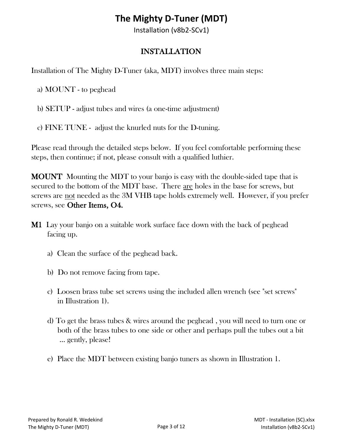Installation (v8b2-SCv1)

#### INSTALLATION

Installation of The Mighty D-Tuner (aka, MDT) involves three main steps:

a) MOUNT - to peghead

- b) SETUP adjust tubes and wires (a one-time adjustment)
- c) FINE TUNE adjust the knurled nuts for the D-tuning.

Please read through the detailed steps below. If you feel comfortable performing these steps, then continue; if not, please consult with a qualified luthier.

MOUNT Mounting the MDT to your banjo is easy with the double-sided tape that is secured to the bottom of the MDT base. There are holes in the base for screws, but screws are not needed as the 3M VHB tape holds extremely well. However, if you prefer screws, see Other Items, O4.

- **M1** Lay your banjo on a suitable work surface face down with the back of peghead facing up.
	- a) Clean the surface of the peghead back.
	- b) Do not remove facing from tape.
	- c) Loosen brass tube set screws using the included allen wrench (see "set screws" in Illustration 1).
	- d) To get the brass tubes & wires around the peghead , you will need to turn one or both of the brass tubes to one side or other and perhaps pull the tubes out a bit ... gently, please!
	- e) Place the MDT between existing banjo tuners as shown in Illustration 1.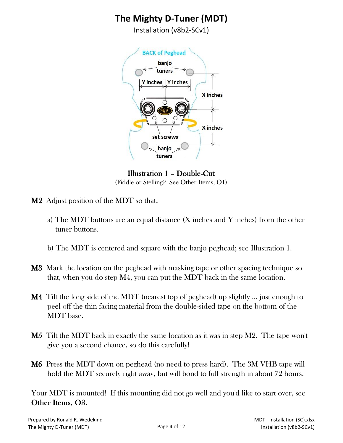Installation (v8b2-SCv1)



Illustration 1 – Double-Cut (Fiddle or Stelling? See Other Items, O1)

- M2 Adjust position of the MDT so that,
	- a) The MDT buttons are an equal distance (X inches and Y inches) from the other tuner buttons.
	- b) The MDT is centered and square with the banjo peghead; see Illustration 1.
- M3 Mark the location on the peghead with masking tape or other spacing technique so that, when you do step M4, you can put the MDT back in the same location.
- M4 Tilt the long side of the MDT (nearest top of peghead) up slightly … just enough to peel off the thin facing material from the double-sided tape on the bottom of the MDT base.
- **M5** Tilt the MDT back in exactly the same location as it was in step M2. The tape won't give you a second chance, so do this carefully!
- M6 Press the MDT down on peghead (no need to press hard). The 3M VHB tape will hold the MDT securely right away, but will bond to full strength in about 72 hours.

Your MDT is mounted! If this mounting did not go well and you'd like to start over, see Other Items, O3.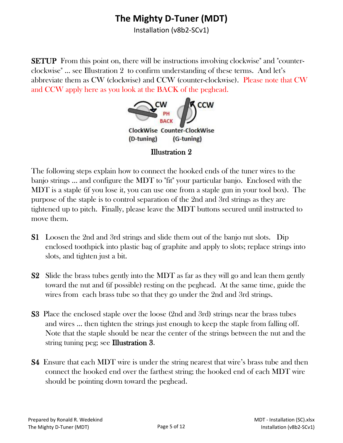Installation (v8b2-SCv1)

SETUP From this point on, there will be instructions involving clockwise" and "counterclockwise" ... see Illustration 2 to confirm understanding of these terms. And let's abbreviate them as CW (clockwise) and CCW (counter-clockwise). Please note that CW and CCW apply here as you look at the BACK of the peghead.



The following steps explain how to connect the hooked ends of the tuner wires to the banjo strings ... and configure the MDT to "fit" your particular banjo. Enclosed with the MDT is a staple (if you lose it, you can use one from a staple gun in your tool box). The purpose of the staple is to control separation of the 2nd and 3rd strings as they are tightened up to pitch. Finally, please leave the MDT buttons secured until instructed to move them.

- S1 Loosen the 2nd and 3rd strings and slide them out of the banjo nut slots. Dip enclosed toothpick into plastic bag of graphite and apply to slots; replace strings into slots, and tighten just a bit.
- S2 Slide the brass tubes gently into the MDT as far as they will go and lean them gently toward the nut and (if possible) resting on the peghead. At the same time, guide the wires from each brass tube so that they go under the 2nd and 3rd strings.
- S3 Place the enclosed staple over the loose (2nd and 3rd) strings near the brass tubes and wires ... then tighten the strings just enough to keep the staple from falling off. Note that the staple should be near the center of the strings between the nut and the string tuning peg; see Illustration 3.
- S4 Ensure that each MDT wire is under the string nearest that wire's brass tube and then connect the hooked end over the farthest string; the hooked end of each MDT wire should be pointing down toward the peghead.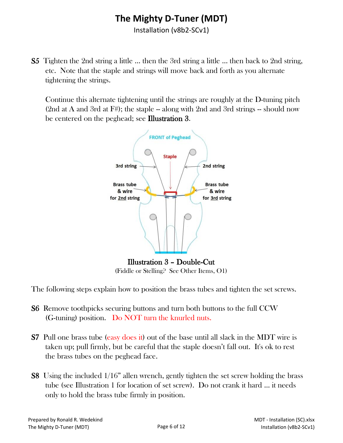Installation (v8b2-SCv1)

S5 Tighten the 2nd string a little ... then the 3rd string a little ... then back to 2nd string, etc. Note that the staple and strings will move back and forth as you alternate tightening the strings.

 Continue this alternate tightening until the strings are roughly at the D-tuning pitch (2nd at A and 3rd at  $F#$ ); the staple -- along with 2nd and 3rd strings -- should now be centered on the peghead; see Illustration 3.



The following steps explain how to position the brass tubes and tighten the set screws.

- S6 Remove toothpicks securing buttons and turn both buttons to the full CCW (G-tuning) position. Do NOT turn the knurled nuts.
- S7 Pull one brass tube (easy does it) out of the base until all slack in the MDT wire is taken up; pull firmly, but be careful that the staple doesn't fall out. It's ok to rest the brass tubes on the peghead face.
- S8 Using the included 1/16" allen wrench, gently tighten the set screw holding the brass tube (see Illustration 1 for location of set screw). Do not crank it hard … it needs only to hold the brass tube firmly in position.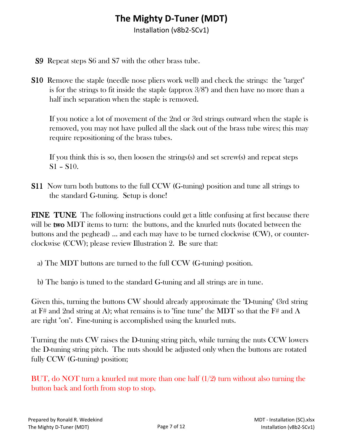Installation (v8b2-SCv1)

- S9 Repeat steps S6 and S7 with the other brass tube.
- S10 Remove the staple (needle nose pliers work well) and check the strings: the "target" is for the strings to fit inside the staple (approx 3/8") and then have no more than a half inch separation when the staple is removed.

 If you notice a lot of movement of the 2nd or 3rd strings outward when the staple is removed, you may not have pulled all the slack out of the brass tube wires; this may require repositioning of the brass tubes.

 If you think this is so, then loosen the strings(s) and set screw(s) and repeat steps S1 – S10.

S11 Now turn both buttons to the full CCW (G-tuning) position and tune all strings to the standard G-tuning. Setup is done!

FINE TUNE The following instructions could get a little confusing at first because there will be two MDT items to turn: the buttons, and the knurled nuts (located between the buttons and the peghead) ... and each may have to be turned clockwise (CW), or counterclockwise (CCW); please review Illustration 2. Be sure that:

a) The MDT buttons are turned to the full CCW (G-tuning) position.

b) The banjo is tuned to the standard G-tuning and all strings are in tune.

Given this, turning the buttons CW should already approximate the "D-tuning" (3rd string at F# and 2nd string at A); what remains is to "fine tune" the MDT so that the F# and A are right "on". Fine-tuning is accomplished using the knurled nuts.

Turning the nuts CW raises the D-tuning string pitch, while turning the nuts CCW lowers the D-tuning string pitch. The nuts should be adjusted only when the buttons are rotated fully CCW (G-tuning) position;

BUT, do NOT turn a knurled nut more than one half (1/2) turn without also turning the button back and forth from stop to stop.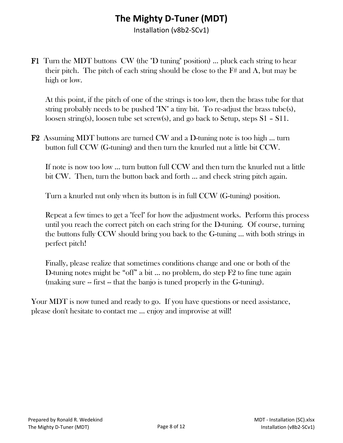Installation (v8b2-SCv1)

F1 Turn the MDT buttons CW (the "D tuning" position) ... pluck each string to hear their pitch. The pitch of each string should be close to the F# and A, but may be high or low.

 At this point, if the pitch of one of the strings is too low, then the brass tube for that string probably needs to be pushed "IN" a tiny bit. To re-adjust the brass tube(s), loosen string(s), loosen tube set screw(s), and go back to Setup, steps S1 – S11.

F2 Assuming MDT buttons are turned CW and a D-tuning note is too high … turn button full CCW (G-tuning) and then turn the knurled nut a little bit CCW.

 If note is now too low ... turn button full CCW and then turn the knurled nut a little bit CW. Then, turn the button back and forth … and check string pitch again.

Turn a knurled nut only when its button is in full CCW (G-tuning) position.

 Repeat a few times to get a "feel" for how the adjustment works. Perform this process until you reach the correct pitch on each string for the D-tuning. Of course, turning the buttons fully CCW should bring you back to the G-tuning ... with both strings in perfect pitch!

 Finally, please realize that sometimes conditions change and one or both of the D-tuning notes might be "off" a bit … no problem, do step F2 to fine tune again (making sure -- first -- that the banjo is tuned properly in the G-tuning).

Your MDT is now tuned and ready to go. If you have questions or need assistance, please don't hesitate to contact me ... enjoy and improvise at will!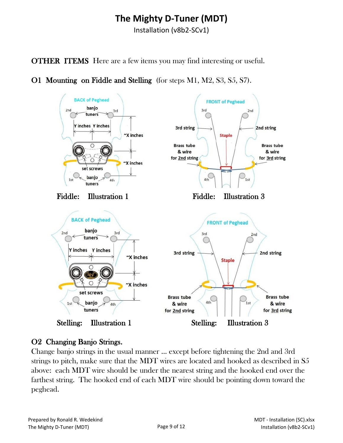Installation (v8b2-SCv1)

OTHER ITEMS Here are a few items you may find interesting or useful.

O1 Mounting on Fiddle and Stelling (for steps M1, M2, S3, S5, S7).



#### O2 Changing Banjo Strings.

Change banjo strings in the usual manner ... except before tightening the 2nd and 3rd strings to pitch, make sure that the MDT wires are located and hooked as described in S5 above: each MDT wire should be under the nearest string and the hooked end over the farthest string. The hooked end of each MDT wire should be pointing down toward the peghead.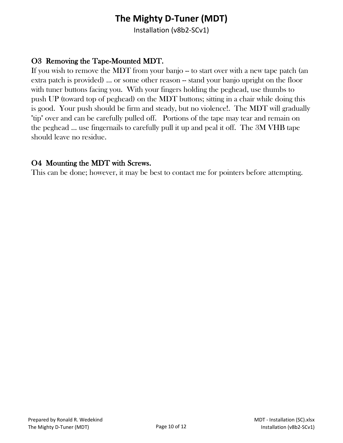Installation (v8b2-SCv1)

#### O3 Removing the Tape-Mounted MDT.

If you wish to remove the MDT from your banjo -- to start over with a new tape patch (an extra patch is provided) ... or some other reason -- stand your banjo upright on the floor with tuner buttons facing you. With your fingers holding the peghead, use thumbs to push UP (toward top of peghead) on the MDT buttons; sitting in a chair while doing this is good. Your push should be firm and steady, but no violence!. The MDT will gradually "tip" over and can be carefully pulled off. Portions of the tape may tear and remain on the peghead ... use fingernails to carefully pull it up and peal it off. The 3M VHB tape should leave no residue.

#### O4 Mounting the MDT with Screws.

This can be done; however, it may be best to contact me for pointers before attempting.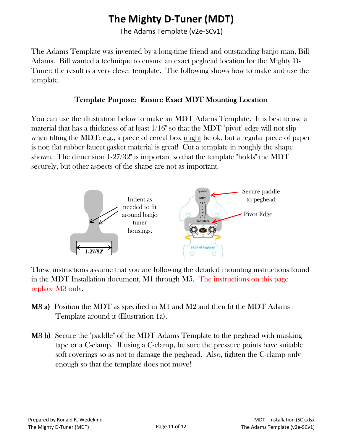The Adams Template (v2e-SCv1)

The Adams Template was invented by a long-time friend and outstanding banjo man, Bill Adams. Bill wanted a technique to ensure an exact peghead location for the Mighty D-Tuner; the result is a very clever template. The following shows how to make and use the template.

#### Template Purpose: Ensure Exact MDT Mounting Location

You can use the illustration below to make an MDT Adams Template. It is best to use a material that has a thickness of at least 1/16" so that the MDT "pivot" edge will not slip when tilting the MDT; e.g., a piece of cereal box might be ok, but a regular piece of paper is not; flat rubber faucet gasket material is great! Cut a template in roughly the shape shown. The dimension 1-27/32" is important so that the template "holds" the MDT securely, but other aspects of the shape are not as important.



These instructions assume that you are following the detailed mounting instructions found in the MDT Installation document, M1 through M5. The instructions on this page replace M3 only.

- M3 a) Position the MDT as specified in M1 and M2 and then fit the MDT Adams Template around it (Illustration 1a).
- M3 b) Secure the "paddle" of the MDT Adams Template to the peghead with masking tape or a C-clamp. If using a C-clamp, be sure the pressure points have suitable soft coverings so as not to damage the peghead. Also, tighten the C-clamp only enough so that the template does not move!